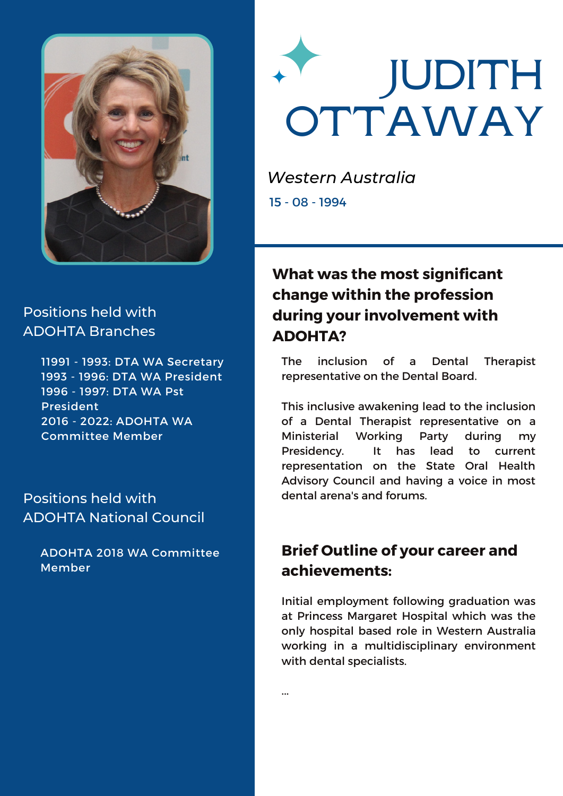

# **JUDITH OTTAWAY**

*Western Australia* 15 - 08 - 1994

#### Positions held with ADOHTA Branches

 - 1993: DTA WA Secretary - 1996: DTA WA President - 1997: DTA WA Pst President - 2022: ADOHTA WA Committee Member

#### Positions held with ADOHTA National Council

ADOHTA 2018 WA Committee Member

# **What was the most significant change within the profession during your involvement with ADOHTA?**

The inclusion of a Dental Therapist representative on the Dental Board.

This inclusive awakening lead to the inclusion of a Dental Therapist representative on a Ministerial Working Party during my Presidency. It has lead to current representation on the State Oral Health Advisory Council and having a voice in most dental arena's and forums.

# **Brief Outline of your career and achievements:**

Initial employment following graduation was at Princess Margaret Hospital which was the only hospital based role in Western Australia working in a multidisciplinary environment with dental specialists.

...